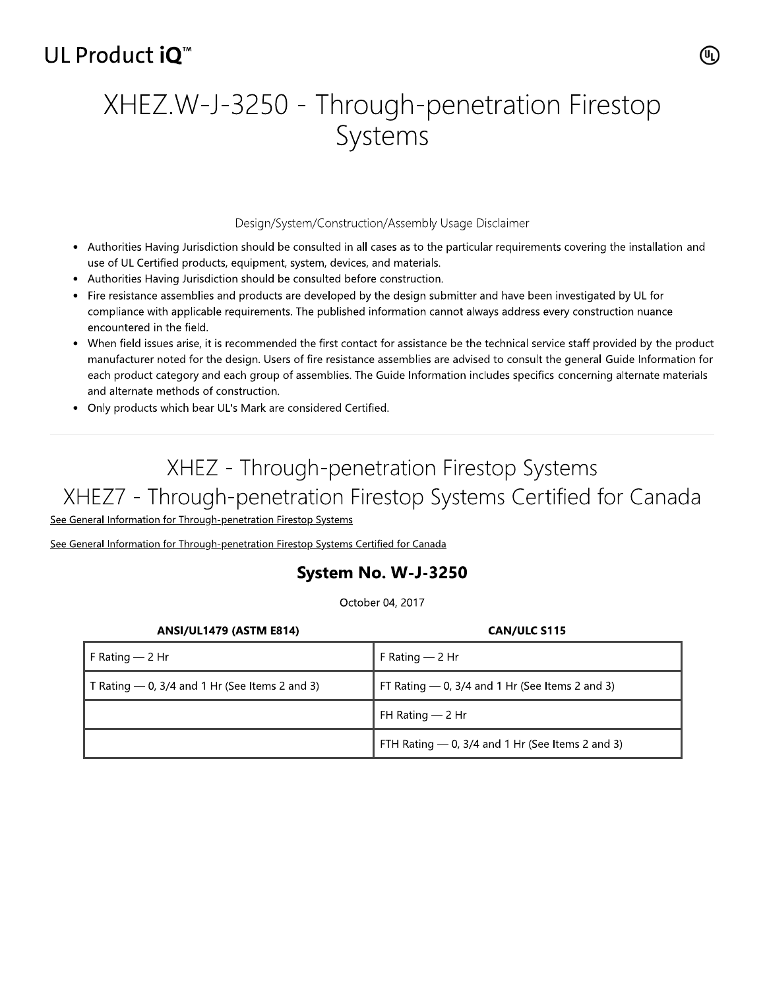## UL Product iO<sup>™</sup>

# XHEZ.W-J-3250 - Through-penetration Firestop Systems

### Design/System/Construction/Assembly Usage Disclaimer

- Authorities Having Jurisdiction should be consulted in all cases as to the particular requirements covering the installation and use of UL Certified products, equipment, system, devices, and materials.
- Authorities Having Jurisdiction should be consulted before construction.
- Fire resistance assemblies and products are developed by the design submitter and have been investigated by UL for compliance with applicable requirements. The published information cannot always address every construction nuance encountered in the field.
- When field issues arise, it is recommended the first contact for assistance be the technical service staff provided by the product manufacturer noted for the design. Users of fire resistance assemblies are advised to consult the general Guide Information for each product category and each group of assemblies. The Guide Information includes specifics concerning alternate materials and alternate methods of construction.
- Only products which bear UL's Mark are considered Certified.

## XHEZ - Through-penetration Firestop Systems XHEZ7 - Through-penetration Firestop Systems Certified for Canada

See General Information for Through-penetration Firestop Systems

See General Information for Through-penetration Firestop Systems Certified for Canada

## System No. W-J-3250

October 04, 2017

| <b>ANSI/UL1479 (ASTM E814)</b>                   | <b>CAN/ULC S115</b>                                |
|--------------------------------------------------|----------------------------------------------------|
| F Rating $-2$ Hr                                 | F Rating $-$ 2 Hr                                  |
| T Rating $-$ 0, 3/4 and 1 Hr (See Items 2 and 3) | FT Rating $-$ 0, 3/4 and 1 Hr (See Items 2 and 3)  |
|                                                  | FH Rating - 2 Hr                                   |
|                                                  | FTH Rating $-$ 0, 3/4 and 1 Hr (See Items 2 and 3) |

(ሢ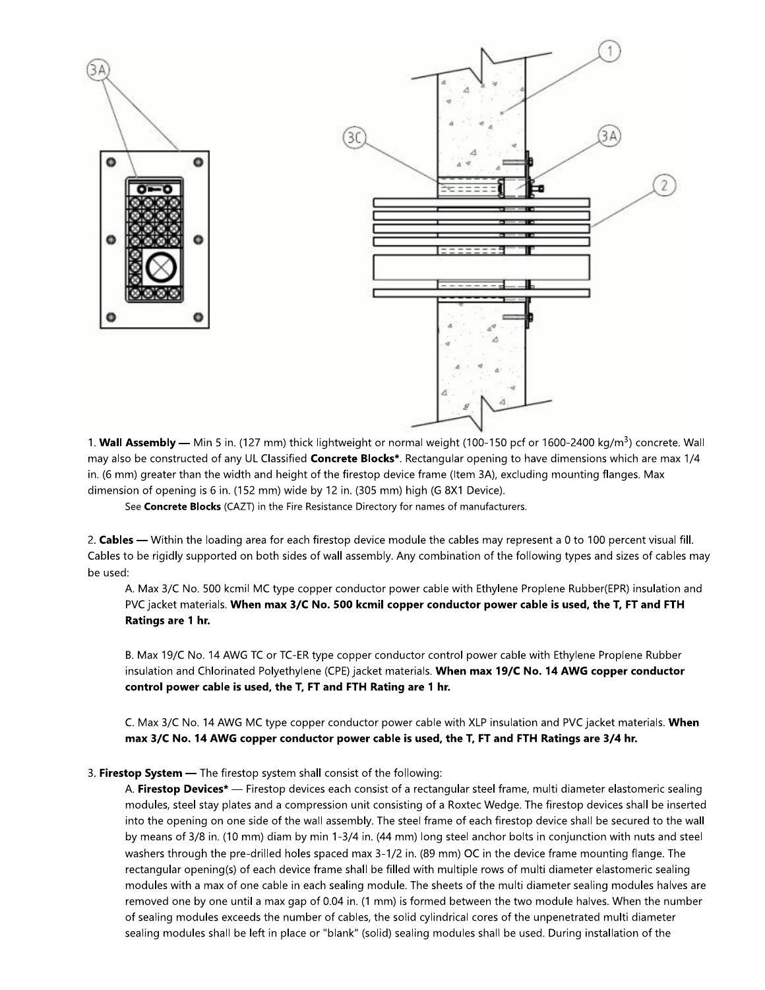

1. Wall Assembly — Min 5 in. (127 mm) thick lightweight or normal weight (100-150 pcf or 1600-2400 kg/m<sup>3</sup>) concrete. Wall may also be constructed of any UL Classified **Concrete Blocks**\*. Rectangular opening to have dimensions which are max 1/4 in. (6 mm) greater than the width and height of the firestop device frame (Item 3A), excluding mounting flanges. Max dimension of opening is 6 in. (152 mm) wide by 12 in. (305 mm) high (G 8X1 Device).

See Concrete Blocks (CAZT) in the Fire Resistance Directory for names of manufacturers.

2. Cables — Within the loading area for each firestop device module the cables may represent a 0 to 100 percent visual fill. Cables to be rigidly supported on both sides of wall assembly. Any combination of the following types and sizes of cables may be used:

A. Max 3/C No. 500 kcmil MC type copper conductor power cable with Ethylene Proplene Rubber(EPR) insulation and PVC jacket materials. When max 3/C No. 500 kcmil copper conductor power cable is used, the T, FT and FTH Ratings are 1 hr.

B. Max 19/C No. 14 AWG TC or TC-ER type copper conductor control power cable with Ethylene Proplene Rubber insulation and Chlorinated Polyethylene (CPE) jacket materials. When max 19/C No. 14 AWG copper conductor control power cable is used, the T, FT and FTH Rating are 1 hr.

C. Max 3/C No. 14 AWG MC type copper conductor power cable with XLP insulation and PVC jacket materials. When max 3/C No. 14 AWG copper conductor power cable is used, the T, FT and FTH Ratings are 3/4 hr.

#### 3. Firestop System - The firestop system shall consist of the following:

A. Firestop Devices\* — Firestop devices each consist of a rectangular steel frame, multi diameter elastomeric sealing modules, steel stay plates and a compression unit consisting of a Roxtec Wedge. The firestop devices shall be inserted into the opening on one side of the wall assembly. The steel frame of each firestop device shall be secured to the wall by means of 3/8 in. (10 mm) diam by min 1-3/4 in. (44 mm) long steel anchor bolts in conjunction with nuts and steel washers through the pre-drilled holes spaced max 3-1/2 in. (89 mm) OC in the device frame mounting flange. The rectangular opening(s) of each device frame shall be filled with multiple rows of multi diameter elastomeric sealing modules with a max of one cable in each sealing module. The sheets of the multi diameter sealing modules halves are removed one by one until a max gap of 0.04 in. (1 mm) is formed between the two module halves. When the number of sealing modules exceeds the number of cables, the solid cylindrical cores of the unpenetrated multi diameter sealing modules shall be left in place or "blank" (solid) sealing modules shall be used. During installation of the